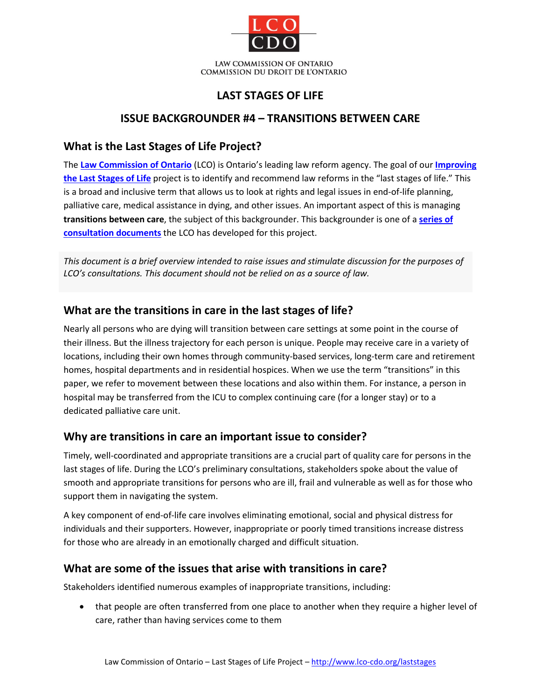

### **LAST STAGES OF LIFE**

### **ISSUE BACKGROUNDER #4 – TRANSITIONS BETWEEN CARE**

### **What is the Last Stages of Life Project?**

The **[Law Commission of Ontario](http://www.lco-cdo.org/)** (LCO) is Ontario's leading law reform agency. The goal of our **[Improving](http://www.lco-cdo.org/laststages)  [the Last Stages of Life](http://www.lco-cdo.org/laststages)** project is to identify and recommend law reforms in the "last stages of life." This is a broad and inclusive term that allows us to look at rights and legal issues in end-of-life planning, palliative care, medical assistance in dying, and other issues. An important aspect of this is managing **transitions between care**, the subject of this backgrounder. This backgrounder is one of a **[series of](http://www.lco-cdo.org/laststages)  [consultation documents](http://www.lco-cdo.org/laststages)** the LCO has developed for this project.

*This document is a brief overview intended to raise issues and stimulate discussion for the purposes of LCO's consultations. This document should not be relied on as a source of law.*

#### **What are the transitions in care in the last stages of life?**

Nearly all persons who are dying will transition between care settings at some point in the course of their illness. But the illness trajectory for each person is unique. People may receive care in a variety of locations, including their own homes through community-based services, long-term care and retirement homes, hospital departments and in residential hospices. When we use the term "transitions" in this paper, we refer to movement between these locations and also within them. For instance, a person in hospital may be transferred from the ICU to complex continuing care (for a longer stay) or to a dedicated palliative care unit.

#### **Why are transitions in care an important issue to consider?**

Timely, well-coordinated and appropriate transitions are a crucial part of quality care for persons in the last stages of life. During the LCO's preliminary consultations, stakeholders spoke about the value of smooth and appropriate transitions for persons who are ill, frail and vulnerable as well as for those who support them in navigating the system.

A key component of end-of-life care involves eliminating emotional, social and physical distress for individuals and their supporters. However, inappropriate or poorly timed transitions increase distress for those who are already in an emotionally charged and difficult situation.

#### **What are some of the issues that arise with transitions in care?**

Stakeholders identified numerous examples of inappropriate transitions, including:

• that people are often transferred from one place to another when they require a higher level of care, rather than having services come to them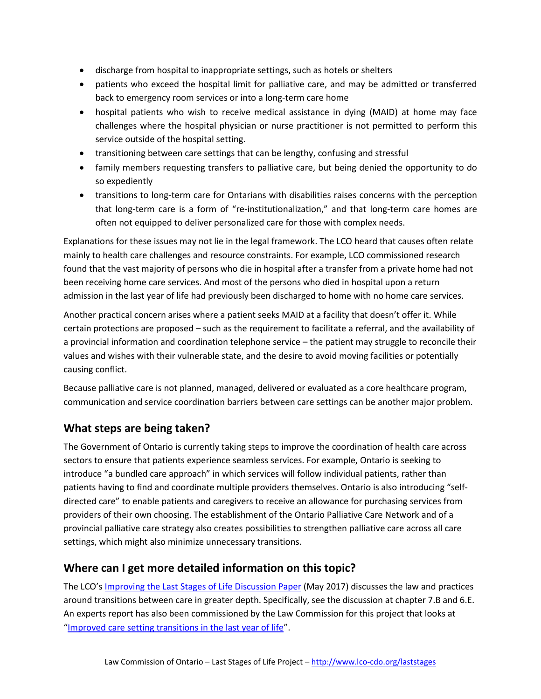- discharge from hospital to inappropriate settings, such as hotels or shelters
- patients who exceed the hospital limit for palliative care, and may be admitted or transferred back to emergency room services or into a long-term care home
- hospital patients who wish to receive medical assistance in dying (MAID) at home may face challenges where the hospital physician or nurse practitioner is not permitted to perform this service outside of the hospital setting.
- transitioning between care settings that can be lengthy, confusing and stressful
- family members requesting transfers to palliative care, but being denied the opportunity to do so expediently
- transitions to long-term care for Ontarians with disabilities raises concerns with the perception that long-term care is a form of "re-institutionalization," and that long-term care homes are often not equipped to deliver personalized care for those with complex needs.

Explanations for these issues may not lie in the legal framework. The LCO heard that causes often relate mainly to health care challenges and resource constraints. For example, LCO commissioned research found that the vast majority of persons who die in hospital after a transfer from a private home had not been receiving home care services. And most of the persons who died in hospital upon a return admission in the last year of life had previously been discharged to home with no home care services.

Another practical concern arises where a patient seeks MAID at a facility that doesn't offer it. While certain protections are proposed – such as the requirement to facilitate a referral, and the availability of a provincial information and coordination telephone service – the patient may struggle to reconcile their values and wishes with their vulnerable state, and the desire to avoid moving facilities or potentially causing conflict.

Because palliative care is not planned, managed, delivered or evaluated as a core healthcare program, communication and service coordination barriers between care settings can be another major problem.

# **What steps are being taken?**

The Government of Ontario is currently taking steps to improve the coordination of health care across sectors to ensure that patients experience seamless services. For example, Ontario is seeking to introduce "a bundled care approach" in which services will follow individual patients, rather than patients having to find and coordinate multiple providers themselves. Ontario is also introducing "selfdirected care" to enable patients and caregivers to receive an allowance for purchasing services from providers of their own choosing. The establishment of the Ontario Palliative Care Network and of a provincial palliative care strategy also creates possibilities to strengthen palliative care across all care settings, which might also minimize unnecessary transitions.

# **Where can I get more detailed information on this topic?**

The LCO'[s Improving the Last Stages of Life Discussion Paper](http://www.lco-cdo.org/laststages) (May 2017) discusses the law and practices around transitions between care in greater depth. Specifically, see the discussion at chapter 7.B and 6.E. An experts report has also been commissioned by the Law Commission for this project that looks at ["Improved care setting transitions in the last year of life"](http://www.lco-cdo.org/wp-content/uploads/2010/10/Wilson%20and%20Birch%20Final%20Report%20%28LCO%20July%202016%29.pdf).